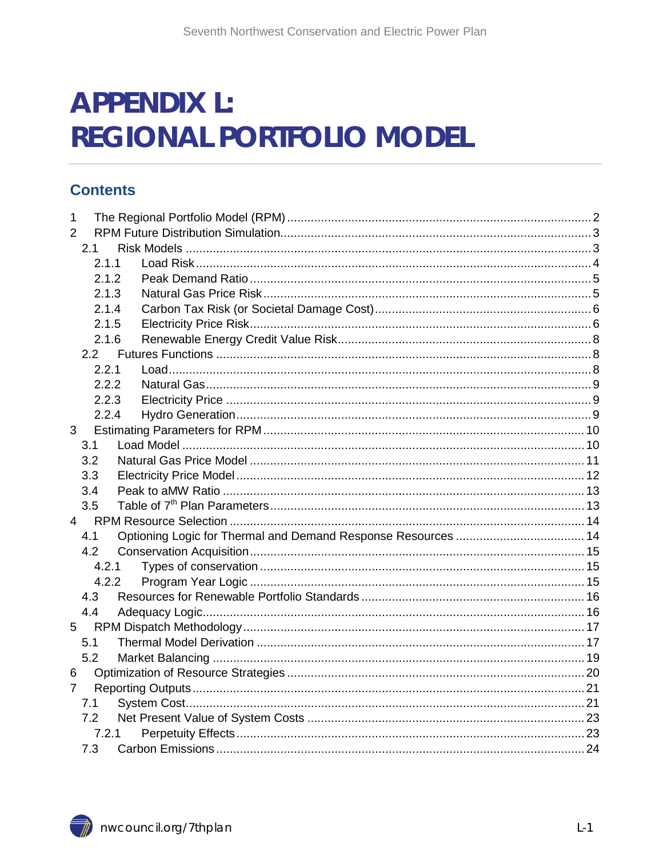# **APPENDIX L: REGIONAL PORTFOLIO MODEL**

### **Contents**

| 1              |       |  |
|----------------|-------|--|
| $\overline{2}$ |       |  |
|                | 2.1   |  |
|                | 2.1.1 |  |
|                | 2.1.2 |  |
|                | 2.1.3 |  |
|                | 2.1.4 |  |
|                | 2.1.5 |  |
|                | 2.1.6 |  |
|                | 2.2   |  |
|                | 2.2.1 |  |
|                | 2.2.2 |  |
|                | 2.2.3 |  |
|                | 2.2.4 |  |
| 3              |       |  |
|                | 3.1   |  |
|                | 3.2   |  |
|                | 3.3   |  |
|                | 3.4   |  |
|                | 3.5   |  |
| $\overline{4}$ |       |  |
|                | 4.1   |  |
|                | 4.2   |  |
|                | 4.2.1 |  |
|                | 4.2.2 |  |
|                | 4.3   |  |
|                | 4.4   |  |
| 5              |       |  |
|                | 5.1   |  |
|                | 5.2   |  |
| 6              |       |  |
| $\overline{7}$ |       |  |
|                | 7.1   |  |
|                | 7.2   |  |
|                | 7.2.1 |  |
|                | 7.3   |  |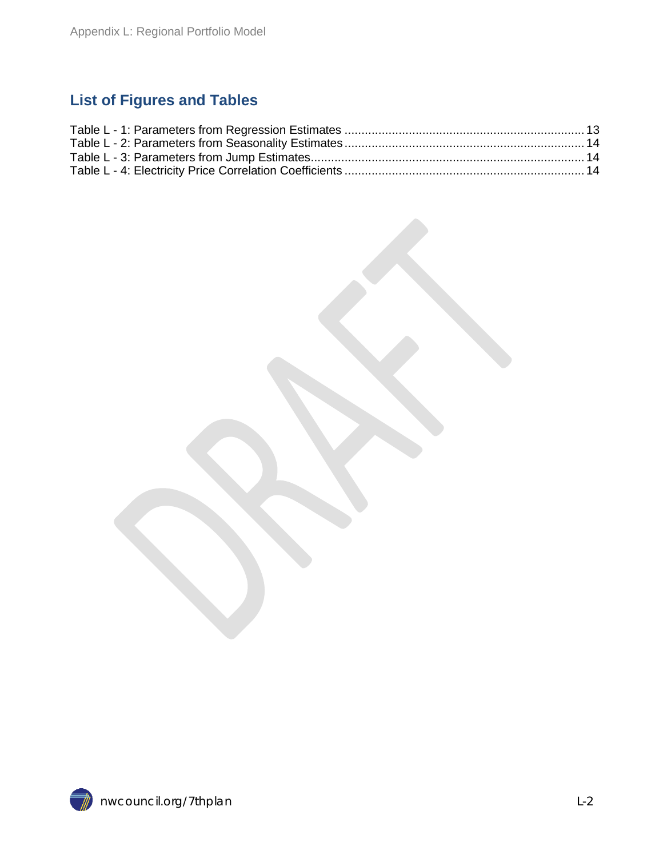### <span id="page-1-0"></span>**List of Figures and Tables**

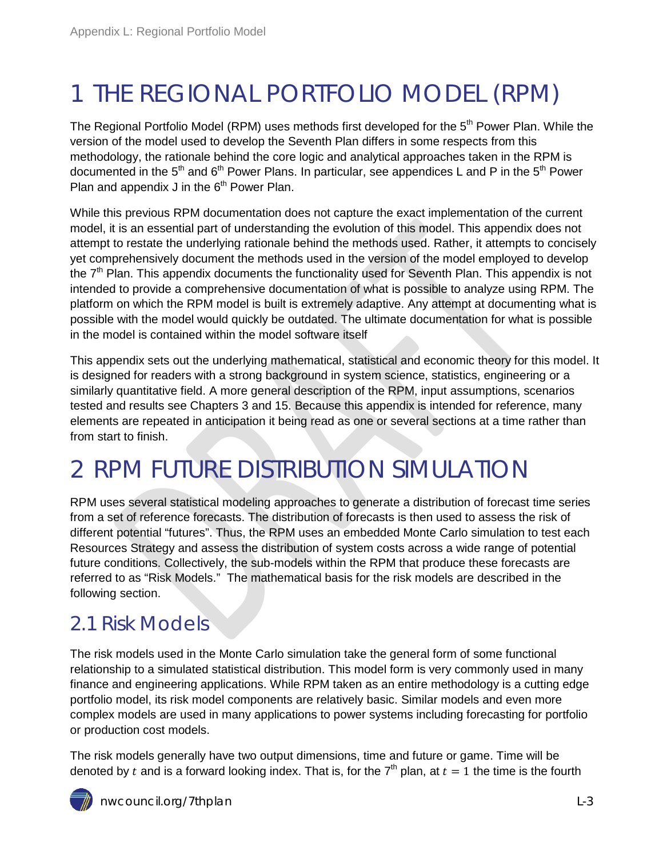# 1 THE REGIONAL PORTFOLIO MODEL (RPM)

The Regional Portfolio Model (RPM) uses methods first developed for the 5<sup>th</sup> Power Plan. While the version of the model used to develop the Seventh Plan differs in some respects from this methodology, the rationale behind the core logic and analytical approaches taken in the RPM is documented in the  $5<sup>th</sup>$  and  $6<sup>th</sup>$  Power Plans. In particular, see appendices L and P in the  $5<sup>th</sup>$  Power Plan and appendix J in the  $6<sup>th</sup>$  Power Plan.

While this previous RPM documentation does not capture the exact implementation of the current model, it is an essential part of understanding the evolution of this model. This appendix does not attempt to restate the underlying rationale behind the methods used. Rather, it attempts to concisely yet comprehensively document the methods used in the version of the model employed to develop the  $7<sup>th</sup>$  Plan. This appendix documents the functionality used for Seventh Plan. This appendix is not intended to provide a comprehensive documentation of what is possible to analyze using RPM. The platform on which the RPM model is built is extremely adaptive. Any attempt at documenting what is possible with the model would quickly be outdated. The ultimate documentation for what is possible in the model is contained within the model software itself

This appendix sets out the underlying mathematical, statistical and economic theory for this model. It is designed for readers with a strong background in system science, statistics, engineering or a similarly quantitative field. A more general description of the RPM, input assumptions, scenarios tested and results see Chapters 3 and 15. Because this appendix is intended for reference, many elements are repeated in anticipation it being read as one or several sections at a time rather than from start to finish.

# <span id="page-2-0"></span>2 RPM FUTURE DISTRIBUTION SIMULATION

RPM uses several statistical modeling approaches to generate a distribution of forecast time series from a set of reference forecasts. The distribution of forecasts is then used to assess the risk of different potential "futures". Thus, the RPM uses an embedded Monte Carlo simulation to test each Resources Strategy and assess the distribution of system costs across a wide range of potential future conditions. Collectively, the sub-models within the RPM that produce these forecasts are referred to as "Risk Models." The mathematical basis for the risk models are described in the following section.

### <span id="page-2-1"></span>2.1 Risk Models

The risk models used in the Monte Carlo simulation take the general form of some functional relationship to a simulated statistical distribution. This model form is very commonly used in many finance and engineering applications. While RPM taken as an entire methodology is a cutting edge portfolio model, its risk model components are relatively basic. Similar models and even more complex models are used in many applications to power systems including forecasting for portfolio or production cost models.

The risk models generally have two output dimensions, time and future or game. Time will be denoted by t and is a forward looking index. That is, for the  $7<sup>th</sup>$  plan, at  $t = 1$  the time is the fourth

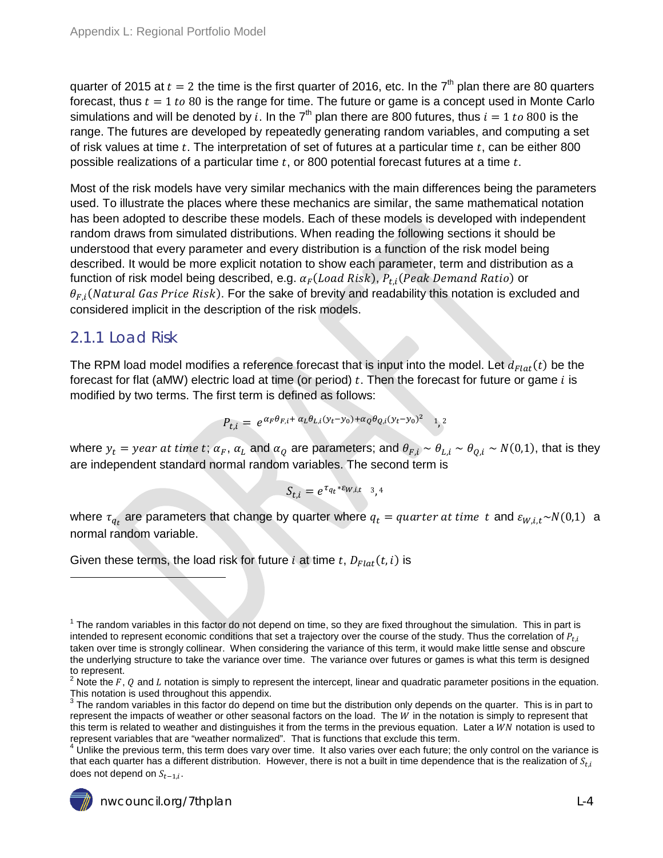quarter of 2015 at  $t = 2$  the time is the first quarter of 2016, etc. In the  $7<sup>th</sup>$  plan there are 80 quarters forecast, thus  $t = 1$  to 80 is the range for time. The future or game is a concept used in Monte Carlo simulations and will be denoted by i. In the 7<sup>th</sup> plan there are 800 futures, thus  $i = 1$  to 800 is the range. The futures are developed by repeatedly generating random variables, and computing a set of risk values at time  $t$ . The interpretation of set of futures at a particular time  $t$ , can be either 800 possible realizations of a particular time  $t$ , or 800 potential forecast futures at a time  $t$ .

Most of the risk models have very similar mechanics with the main differences being the parameters used. To illustrate the places where these mechanics are similar, the same mathematical notation has been adopted to describe these models. Each of these models is developed with independent random draws from simulated distributions. When reading the following sections it should be understood that every parameter and every distribution is a function of the risk model being described. It would be more explicit notation to show each parameter, term and distribution as a function of risk model being described, e.g.  $\alpha_F (Load Risk)$ ,  $P_{t,i} (Peak Demand Ratio)$  or  $\theta_{F,i}$ (Natural Gas Price Risk). For the sake of brevity and readability this notation is excluded and considered implicit in the description of the risk models.

### <span id="page-3-0"></span>2.1.1 Load Risk

 $\ddot{\phantom{a}}$ 

The RPM load model modifies a reference forecast that is input into the model. Let  $d_{Flat}(t)$  be the forecast for flat (aMW) electric load at time (or period)  $t$ . Then the forecast for future or game  $i$  is modified by two terms. The first term is defined as follows:

$$
P_{t,i} = e^{\alpha_F \theta_{F,i} + \alpha_L \theta_{L,i} (y_t - y_0) + \alpha_Q \theta_{Q,i} (y_t - y_0)^2} \quad 1, 2
$$

where  $y_t = year$  at time t;  $\alpha_F$ ,  $\alpha_L$  and  $\alpha_Q$  are parameters; and  $\theta_{F,i} \sim \theta_{L,i} \sim \theta_{Q,i} \sim N(0,1)$ , that is they are independent standard normal random variables. The second term is

$$
S_{t,i}=e^{\tau_{q_t}*\varepsilon_{W,i,t}} \quad \text{and} \quad
$$

where  $\tau_{q_t}$  are parameters that change by quarter where  $q_t = quarter$  at time t and  $\varepsilon_{W,i,t} \sim N(0,1)$  a normal random variable.

Given these terms, the load risk for future *i* at time  $t$ ,  $D_{Flat}(t, i)$  is

 $4$  Unlike the previous term, this term does vary over time. It also varies over each future; the only control on the variance is that each quarter has a different distribution. However, there is not a built in time dependence that is the realization of  $S_{t,i}$ does not depend on  $S_{t-1,i}$ .



 $1$  The random variables in this factor do not depend on time, so they are fixed throughout the simulation. This in part is intended to represent economic conditions that set a trajectory over the course of the study. Thus the correlation of  $P_{t,i}$ taken over time is strongly collinear. When considering the variance of this term, it would make little sense and obscure the underlying structure to take the variance over time. The variance over futures or games is what this term is designed to represent.

<sup>&</sup>lt;sup>2</sup> Note the F, Q and L notation is simply to represent the intercept, linear and quadratic parameter positions in the equation. This notation is used throughout this appendix.

 $3$  The random variables in this factor do depend on time but the distribution only depends on the quarter. This is in part to represent the impacts of weather or other seasonal factors on the load. The  $W$  in the notation is simply to represent that this term is related to weather and distinguishes it from the terms in the previous equation. Later a  $WN$  notation is used to represent variables that are "weather normalized". That is functions that exclude this term.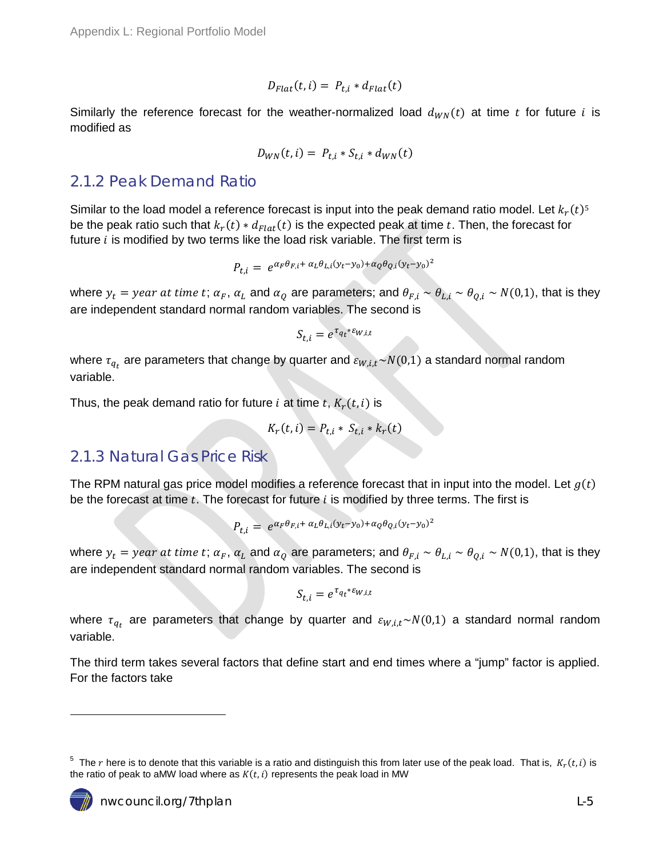$$
D_{Flat}(t,i) = P_{t,i} * d_{Flat}(t)
$$

Similarly the reference forecast for the weather-normalized load  $d_{WN}(t)$  at time t for future i is modified as

$$
D_{WN}(t,i) = P_{t,i} * S_{t,i} * d_{WN}(t)
$$

#### <span id="page-4-0"></span>2.1.2 Peak Demand Ratio

Similar to the load model a reference forecast is input into the peak demand ratio model. Let  $k_r(t)$ <sup>5</sup> be the peak ratio such that  $k_r(t) * d_{Flat}(t)$  is the expected peak at time t. Then, the forecast for future  $i$  is modified by two terms like the load risk variable. The first term is

$$
P_{t,i} = e^{\alpha_F \theta_{F,i} + \alpha_L \theta_{L,i} (y_t - y_0) + \alpha_Q \theta_{Q,i} (y_t - y_0)^2}
$$

where  $y_t = year$  at time t;  $\alpha_F$ ,  $\alpha_L$  and  $\alpha_Q$  are parameters; and  $\theta_{F,i} \sim \theta_{L,i} \sim \theta_{O,i} \sim N(0,1)$ , that is they are independent standard normal random variables. The second is

$$
S_{t,i} = e^{\tau_{q_t} * \varepsilon_{W,i,t}}
$$

where  $\tau_{q_t}$  are parameters that change by quarter and  $\varepsilon_{W,i,t} \sim N(0,1)$  a standard normal random variable.

Thus, the peak demand ratio for future i at time t,  $K_r(t, i)$  is

$$
K_r(t,i) = P_{t,i} * S_{t,i} * k_r(t)
$$

### <span id="page-4-1"></span>2.1.3 Natural Gas Price Risk

The RPM natural gas price model modifies a reference forecast that in input into the model. Let  $g(t)$ be the forecast at time  $t$ . The forecast for future  $i$  is modified by three terms. The first is

$$
P_{t,i} = e^{\alpha_F \theta_{F,i} + \alpha_L \theta_{L,i} (y_t - y_0) + \alpha_Q \theta_{Q,i} (y_t - y_0)^2}
$$

where  $y_t = year$  at time t;  $\alpha_F$ ,  $\alpha_L$  and  $\alpha_Q$  are parameters; and  $\theta_{F,i} \sim \theta_{L,i} \sim \theta_{Q,i} \sim N(0,1)$ , that is they are independent standard normal random variables. The second is

$$
S_{t,i} = e^{\tau_{q_t} * \varepsilon_{W,i,t}}
$$

where  $\tau_{q_t}$  are parameters that change by quarter and  $\varepsilon_{W,i,t} \sim N(0,1)$  a standard normal random variable.

The third term takes several factors that define start and end times where a "jump" factor is applied. For the factors take

<sup>&</sup>lt;sup>5</sup> The r here is to denote that this variable is a ratio and distinguish this from later use of the peak load. That is,  $K_r(t, i)$  is the ratio of peak to aMW load where as  $K(t, i)$  represents the peak load in MW



 $\overline{a}$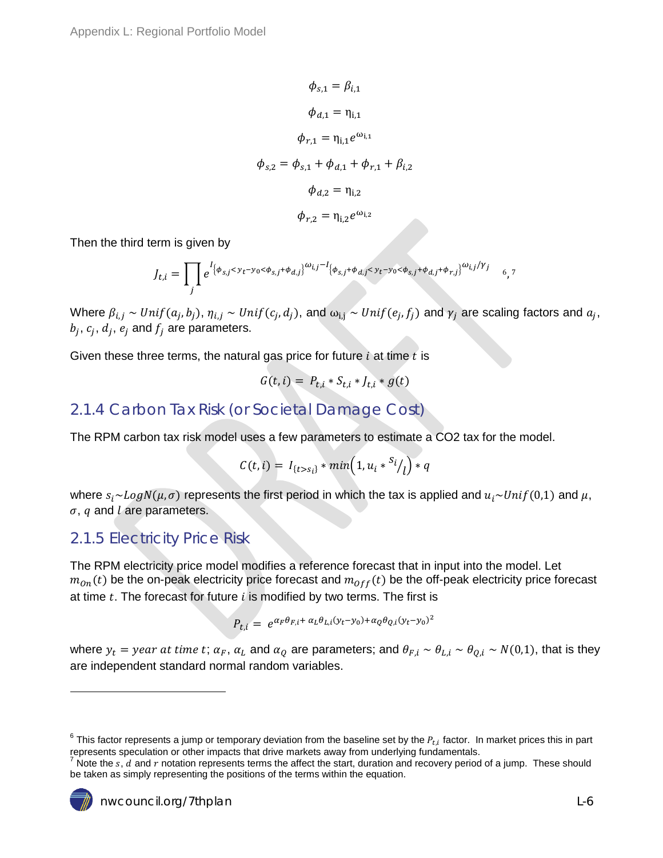$$
\phi_{s,1} = \beta_{i,1}
$$
  
\n
$$
\phi_{d,1} = \eta_{i,1}
$$
  
\n
$$
\phi_{r,1} = \eta_{i,1} e^{\omega_{i,1}}
$$
  
\n
$$
\phi_{s,2} = \phi_{s,1} + \phi_{d,1} + \phi_{r,1} + \beta_{i,2}
$$
  
\n
$$
\phi_{d,2} = \eta_{i,2}
$$
  
\n
$$
\phi_{r,2} = \eta_{i,2} e^{\omega_{i,2}}
$$

Then the third term is given by

$$
J_{t,i} = \prod_{j} e^{l_{\{\phi_{S,j} < y_t - y_0 < \phi_{S,j} + \phi_{d,j}\}} \omega_{i,j} - l_{\{\phi_{S,j} + \phi_{d,j} < y_t - y_0 < \phi_{S,j} + \phi_{d,j} + \phi_{r,j}\}} \omega_{i,j}/\gamma_{j}} \quad \text{6,7}
$$

Where  $\beta_{i,j} \sim Unif(a_j, b_j), \eta_{i,j} \sim Unif(c_j, d_j)$ , and  $\omega_{i,j} \sim Unif(e_j, f_j)$  and  $\gamma_j$  are scaling factors and  $a_j$ ,  $b_i$ ,  $c_i$ ,  $d_i$ ,  $e_i$  and  $f_i$  are parameters.

Given these three terms, the natural gas price for future  $i$  at time  $t$  is

$$
G(t,i) = P_{t,i} * S_{t,i} * J_{t,i} * g(t)
$$

### <span id="page-5-0"></span>2.1.4 Carbon Tax Risk (or Societal Damage Cost)

The RPM carbon tax risk model uses a few parameters to estimate a CO2 tax for the model.

$$
C(t,i) = I_{\{t>s_i\}} * min(1, u_i *^{S_i}/l) * q
$$

where  $s_i \sim Log N(\mu, \sigma)$  represents the first period in which the tax is applied and  $u_i \sim Unif(0,1)$  and  $\mu$ ,  $\sigma$ ,  $q$  and  $l$  are parameters.

#### <span id="page-5-1"></span>2.1.5 Electricity Price Risk

The RPM electricity price model modifies a reference forecast that in input into the model. Let  $m_{on}(t)$  be the on-peak electricity price forecast and  $m_{off}(t)$  be the off-peak electricity price forecast at time  $t$ . The forecast for future  $i$  is modified by two terms. The first is

$$
P_{t,i} = e^{\alpha_F \theta_{F,i} + \alpha_L \theta_{L,i} (y_t - y_0) + \alpha_Q \theta_{Q,i} (y_t - y_0)^2}
$$

where  $y_t = year$  at time t;  $\alpha_F$ ,  $\alpha_L$  and  $\alpha_O$  are parameters; and  $\theta_{F,i} \sim \theta_{L,i} \sim \theta_{O,i} \sim N(0,1)$ , that is they are independent standard normal random variables.

Note the  $s$ ,  $d$  and  $r$  notation represents terms the affect the start, duration and recovery period of a jump. These should be taken as simply representing the positions of the terms within the equation.



 $\overline{a}$ 

 $^6$  This factor represents a jump or temporary deviation from the baseline set by the  $P_{t,i}$  factor. In market prices this in part represents speculation or other impacts that drive markets away from underlying fundamentals.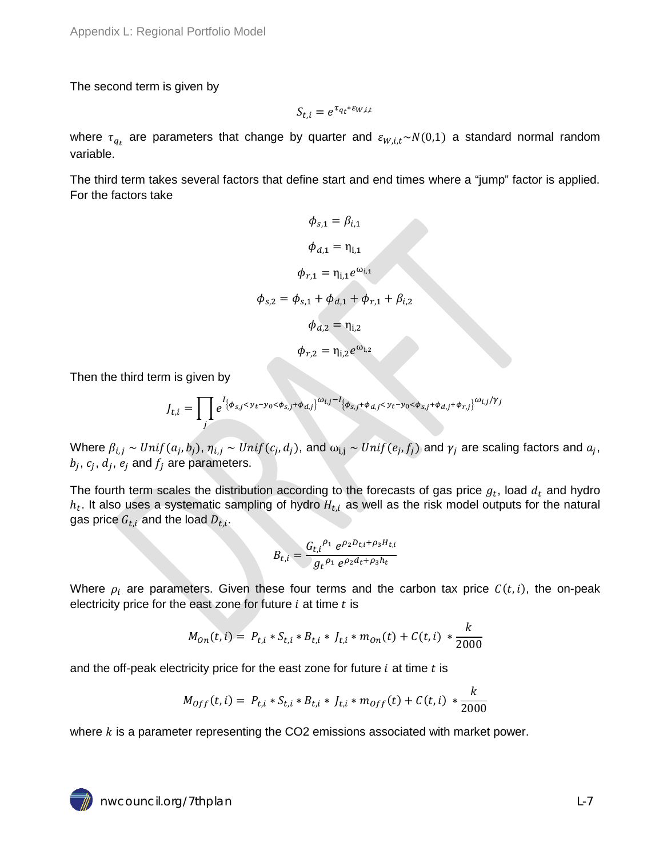Appendix L: Regional Portfolio Model

The second term is given by

$$
S_{t,i} = e^{\tau_{q_t} * \varepsilon_{W,i,t}}
$$

where  $\tau_{a_{t}}$  are parameters that change by quarter and  $\varepsilon_{W,i,t} \sim N(0,1)$  a standard normal random variable.

The third term takes several factors that define start and end times where a "jump" factor is applied. For the factors take

$$
\phi_{s,1} = \beta_{i,1}
$$
\n
$$
\phi_{d,1} = \eta_{i,1}
$$
\n
$$
\phi_{r,1} = \eta_{i,1} e^{\omega_{i,1}}
$$
\n
$$
\phi_{s,2} = \phi_{s,1} + \phi_{d,1} + \phi_{r,1} + \beta_{i,2}
$$
\n
$$
\phi_{d,2} = \eta_{i,2}
$$
\n
$$
\phi_{r,2} = \eta_{i,2} e^{\omega_{i,2}}
$$

Then the third term is given by

$$
J_{t,i} = \prod_{j} e^{i \left\{\phi_{s,j} < y_t - y_0 < \phi_{s,j} + \phi_{d,j}\right\}^{\omega_{i,j} - 1} \left\{\phi_{s,j} + \phi_{d,j} < y_t - y_0 < \phi_{s,j} + \phi_{d,j} + \phi_{r,j}\right\}^{\omega_{i,j}/\gamma_{j}}
$$

Where  $\beta_{i,j} \sim Unif(a_j, b_j), \eta_{i,j} \sim Unif(c_j, d_j)$ , and  $\omega_{i,j} \sim Unif(e_j, f_j)$  and  $\gamma_j$  are scaling factors and  $a_j$ ,  $b_j, c_j, d_j, e_j$  and  $f_j$  are parameters.

The fourth term scales the distribution according to the forecasts of gas price  $g_t$ , load  $d_t$  and hydro  $h_t$ . It also uses a systematic sampling of hydro  $H_{t,i}$  as well as the risk model outputs for the natural gas price  $G_{t,i}$  and the load  $D_{t,i}$ .

$$
B_{t,i} = \frac{G_{t,i}^{\rho_1} e^{\rho_2 D_{t,i} + \rho_3 H_{t,i}}}{g_t^{\rho_1} e^{\rho_2 d_t + \rho_3 h_t}}
$$

Where  $\rho_i$  are parameters. Given these four terms and the carbon tax price  $C(t, i)$ , the on-peak electricity price for the east zone for future  $i$  at time  $t$  is

$$
M_{on}(t,i) = P_{t,i} * S_{t,i} * B_{t,i} * J_{t,i} * m_{on}(t) + C(t,i) * \frac{k}{2000}
$$

and the off-peak electricity price for the east zone for future  $i$  at time  $t$  is

$$
M_{Off}(t,i) = P_{t,i} * S_{t,i} * B_{t,i} * J_{t,i} * m_{Off}(t) + C(t,i) * \frac{k}{2000}
$$

where  $k$  is a parameter representing the CO2 emissions associated with market power.

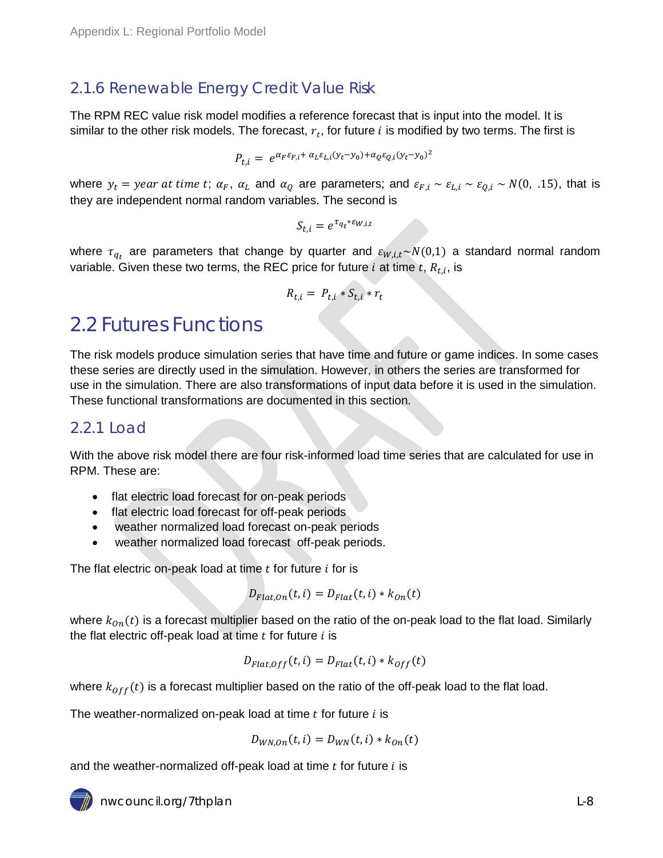### <span id="page-7-0"></span>2.1.6 Renewable Energy Credit Value Risk

The RPM REC value risk model modifies a reference forecast that is input into the model. It is similar to the other risk models. The forecast,  $r_t$ , for future i is modified by two terms. The first is

$$
P_{t,i} = e^{\alpha_F \varepsilon_{F,i} + \alpha_L \varepsilon_{L,i} (y_t - y_0) + \alpha_Q \varepsilon_{Q,i} (y_t - y_0)^2}
$$

where  $y_t = year$  at time t;  $\alpha_F$ ,  $\alpha_L$  and  $\alpha_Q$  are parameters; and  $\varepsilon_{F,i} \sim \varepsilon_{L,i} \sim \varepsilon_{O,i} \sim N(0, 0.15)$ , that is they are independent normal random variables. The second is

 $S_{t,i} = e^{\tau_{q_t} * \varepsilon_{W,i,t}}$ 

where  $\tau_{q_t}$  are parameters that change by quarter and  $\varepsilon_{W,i,t} \sim N(0,1)$  a standard normal random variable. Given these two terms, the REC price for future *i* at time  $t$ ,  $R_{t,i}$ , is

$$
R_{t,i} = P_{t,i} * S_{t,i} * r_t
$$

## <span id="page-7-1"></span>2.2 Futures Functions

The risk models produce simulation series that have time and future or game indices. In some cases these series are directly used in the simulation. However, in others the series are transformed for use in the simulation. There are also transformations of input data before it is used in the simulation. These functional transformations are documented in this section.

### <span id="page-7-2"></span>2.2.1 Load

With the above risk model there are four risk-informed load time series that are calculated for use in RPM. These are:

- flat electric load forecast for on-peak periods
- flat electric load forecast for off-peak periods
- weather normalized load forecast on-peak periods
- weather normalized load forecast off-peak periods.

The flat electric on-peak load at time  $t$  for future  $i$  for is

$$
D_{Flat,On}(t,i) = D_{Flat}(t,i) \ast k_{On}(t)
$$

where  $k_{on}(t)$  is a forecast multiplier based on the ratio of the on-peak load to the flat load. Similarly the flat electric off-peak load at time  $t$  for future  $i$  is

$$
D_{Flat,Off}(t,i) = D_{Flat}(t,i) \ast k_{Off}(t)
$$

where  $k_{off}(t)$  is a forecast multiplier based on the ratio of the off-peak load to the flat load.

The weather-normalized on-peak load at time  $t$  for future  $i$  is

$$
D_{WN,On}(t,i) = D_{WN}(t,i) * k_{On}(t)
$$

and the weather-normalized off-peak load at time  $t$  for future  $i$  is

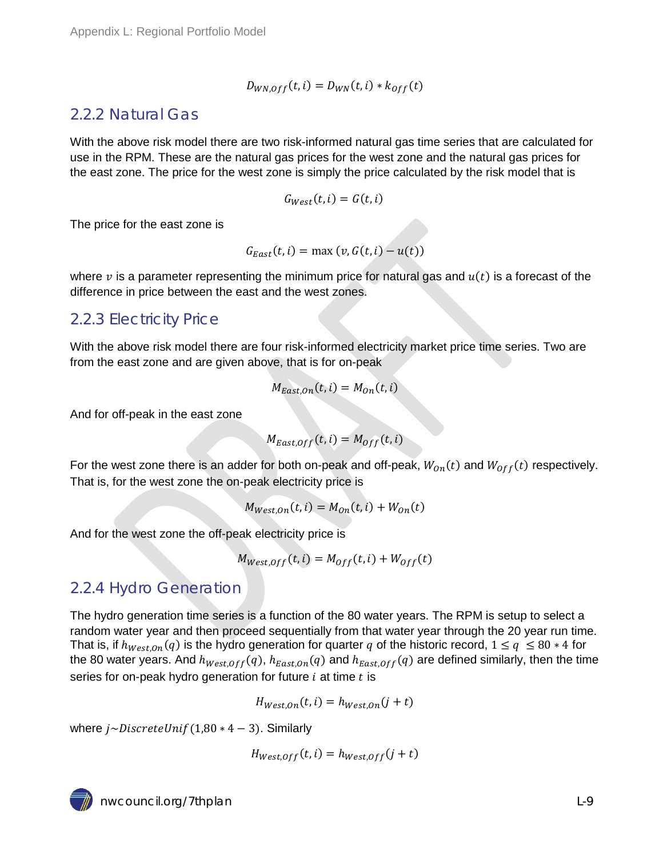$$
D_{WN,Off}(t,i) = D_{WN}(t,i) * k_{Off}(t)
$$

### <span id="page-8-0"></span>2.2.2 Natural Gas

With the above risk model there are two risk-informed natural gas time series that are calculated for use in the RPM. These are the natural gas prices for the west zone and the natural gas prices for the east zone. The price for the west zone is simply the price calculated by the risk model that is

$$
G_{\mathit{West}}(t,i) = G(t,i)
$$

The price for the east zone is

$$
G_{East}(t, i) = \max(v, G(t, i) - u(t))
$$

where  $\nu$  is a parameter representing the minimum price for natural gas and  $u(t)$  is a forecast of the difference in price between the east and the west zones.

### <span id="page-8-1"></span>2.2.3 Electricity Price

With the above risk model there are four risk-informed electricity market price time series. Two are from the east zone and are given above, that is for on-peak

$$
M_{East,On}(t,i) = M_{On}(t,i)
$$

And for off-peak in the east zone

$$
M_{East,Off}(t,i) = M_{Off}(t,i)
$$

For the west zone there is an adder for both on-peak and off-peak,  $W_{on}(t)$  and  $W_{off}(t)$  respectively. That is, for the west zone the on-peak electricity price is

$$
M_{West,On}(t,i) = M_{On}(t,i) + W_{On}(t)
$$

And for the west zone the off-peak electricity price is

$$
M_{West,Off}(t,i) = M_{Off}(t,i) + W_{Off}(t)
$$

### <span id="page-8-2"></span>2.2.4 Hydro Generation

The hydro generation time series is a function of the 80 water years. The RPM is setup to select a random water year and then proceed sequentially from that water year through the 20 year run time. That is, if  $h_{West,On}(q)$  is the hydro generation for quarter q of the historic record,  $1 \le q \le 80 * 4$  for the 80 water years. And  $h_{West,Off}(q)$ ,  $h_{East,On}(q)$  and  $h_{East,Off}(q)$  are defined similarly, then the time series for on-peak hydro generation for future  $i$  at time  $t$  is

$$
H_{West,On}(t,i) = h_{West,On}(j+t)
$$

where  $i \sim DiscreteUnif(1,80 * 4 - 3)$ . Similarly

$$
H_{West,Off}(t,i) = h_{West,Off}(j+t)
$$

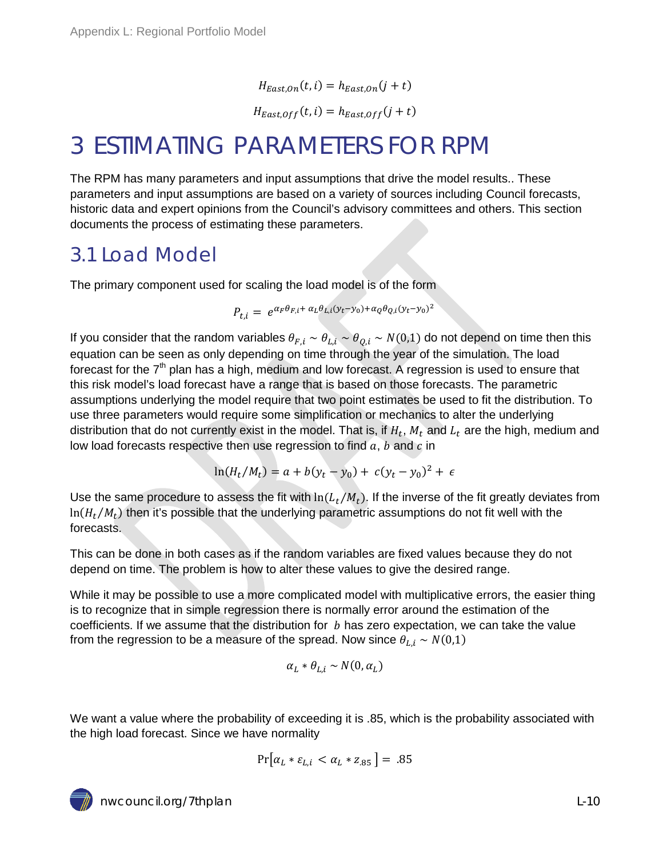$H_{Fast\,On}(t, i) = h_{East\,On}(j + t)$ 

 $H_{East,Off}(t, i) = h_{East,Off}(j + t)$ 

## <span id="page-9-0"></span>3 ESTIMATING PARAMETERS FOR RPM

The RPM has many parameters and input assumptions that drive the model results.. These parameters and input assumptions are based on a variety of sources including Council forecasts, historic data and expert opinions from the Council's advisory committees and others. This section documents the process of estimating these parameters.

### <span id="page-9-1"></span>3.1 Load Model

The primary component used for scaling the load model is of the form

$$
P_{t,i} = e^{\alpha_F \theta_{F,i} + \alpha_L \theta_{L,i} (y_t - y_0) + \alpha_Q \theta_{Q,i} (y_t - y_0)^2}
$$

If you consider that the random variables  $\theta_{F,i} \sim \theta_{L,i} \sim \theta_{Q,i} \sim N(0,1)$  do not depend on time then this equation can be seen as only depending on time through the year of the simulation. The load forecast for the  $7<sup>th</sup>$  plan has a high, medium and low forecast. A regression is used to ensure that this risk model's load forecast have a range that is based on those forecasts. The parametric assumptions underlying the model require that two point estimates be used to fit the distribution. To use three parameters would require some simplification or mechanics to alter the underlying distribution that do not currently exist in the model. That is, if  $H_t$ ,  $M_t$  and  $L_t$  are the high, medium and low load forecasts respective then use regression to find  $a, b$  and  $c$  in

$$
\ln(H_t/M_t) = a + b(y_t - y_0) + c(y_t - y_0)^2 + \epsilon
$$

Use the same procedure to assess the fit with  $ln(L_t/M_t)$ . If the inverse of the fit greatly deviates from  $ln(H_t/M_t)$  then it's possible that the underlying parametric assumptions do not fit well with the forecasts.

This can be done in both cases as if the random variables are fixed values because they do not depend on time. The problem is how to alter these values to give the desired range.

While it may be possible to use a more complicated model with multiplicative errors, the easier thing is to recognize that in simple regression there is normally error around the estimation of the coefficients. If we assume that the distribution for  $b$  has zero expectation, we can take the value from the regression to be a measure of the spread. Now since  $\theta_{L,i} \sim N(0,1)$ 

$$
\alpha_L * \theta_{L,i} \sim N(0,\alpha_L)
$$

We want a value where the probability of exceeding it is .85, which is the probability associated with the high load forecast. Since we have normality

$$
Pr[\alpha_L * \varepsilon_{L,i} < \alpha_L * z_{.85}] = .85
$$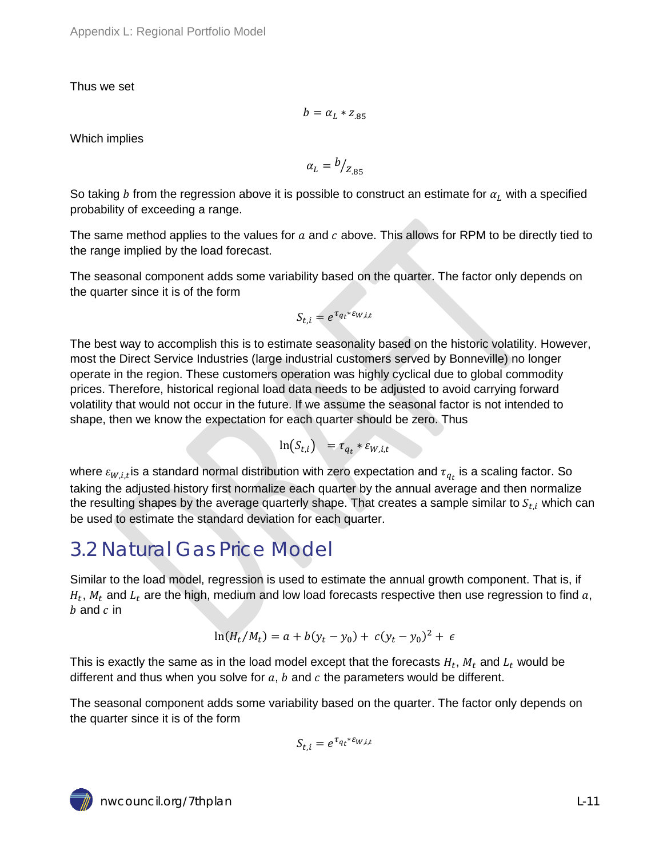Thus we set

$$
b=\alpha_L * z_{.85}
$$

Which implies

$$
\alpha_L = \frac{b}{z_{.85}}
$$

So taking b from the regression above it is possible to construct an estimate for  $\alpha_L$  with a specified probability of exceeding a range.

The same method applies to the values for  $a$  and  $c$  above. This allows for RPM to be directly tied to the range implied by the load forecast.

The seasonal component adds some variability based on the quarter. The factor only depends on the quarter since it is of the form

$$
S_{t,i} = e^{\tau_{q_t} * \varepsilon_{W,i,t}}
$$

The best way to accomplish this is to estimate seasonality based on the historic volatility. However, most the Direct Service Industries (large industrial customers served by Bonneville) no longer operate in the region. These customers operation was highly cyclical due to global commodity prices. Therefore, historical regional load data needs to be adjusted to avoid carrying forward volatility that would not occur in the future. If we assume the seasonal factor is not intended to shape, then we know the expectation for each quarter should be zero. Thus

$$
\ln(S_{t,i}) = \tau_{q_t} * \varepsilon_{W,i,t}
$$

where  $\varepsilon_{W,i,t}$  is a standard normal distribution with zero expectation and  $\tau_{q_t}$  is a scaling factor. So taking the adjusted history first normalize each quarter by the annual average and then normalize the resulting shapes by the average quarterly shape. That creates a sample similar to  $S_{t,i}$  which can be used to estimate the standard deviation for each quarter.

## <span id="page-10-0"></span>3.2 Natural Gas Price Model

Similar to the load model, regression is used to estimate the annual growth component. That is, if  $H_t$ ,  $M_t$  and  $L_t$  are the high, medium and low load forecasts respective then use regression to find a,  $h$  and  $c$  in

$$
\ln(H_t/M_t) = a + b(y_t - y_0) + c(y_t - y_0)^2 + \epsilon
$$

This is exactly the same as in the load model except that the forecasts  $H_t$ ,  $M_t$  and  $L_t$  would be different and thus when you solve for  $a, b$  and  $c$  the parameters would be different.

The seasonal component adds some variability based on the quarter. The factor only depends on the quarter since it is of the form

$$
S_{t,i} = e^{\tau_{q_t} * \varepsilon_{W,i,t}}
$$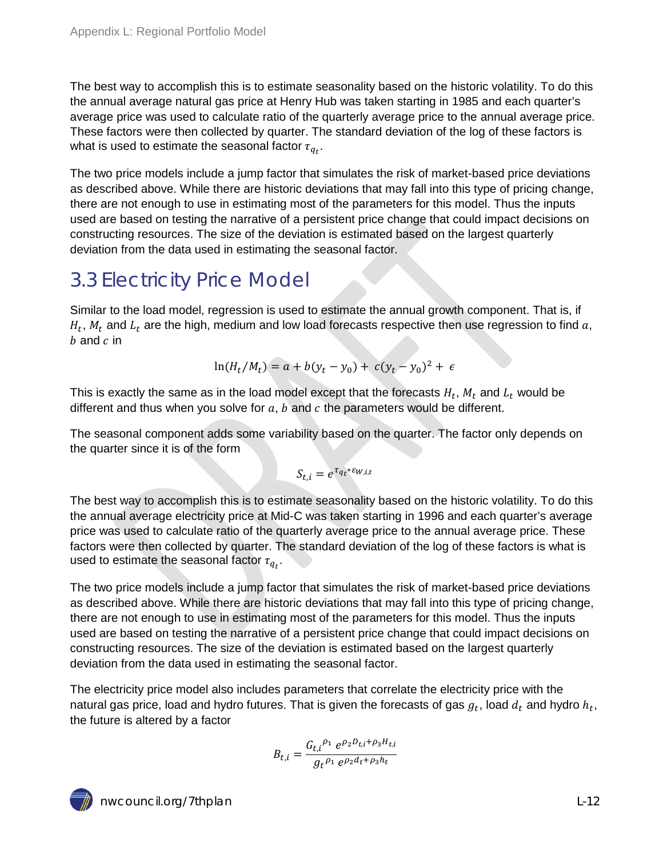The best way to accomplish this is to estimate seasonality based on the historic volatility. To do this the annual average natural gas price at Henry Hub was taken starting in 1985 and each quarter's average price was used to calculate ratio of the quarterly average price to the annual average price. These factors were then collected by quarter. The standard deviation of the log of these factors is what is used to estimate the seasonal factor  $\tau_{q_t}.$ 

The two price models include a jump factor that simulates the risk of market-based price deviations as described above. While there are historic deviations that may fall into this type of pricing change, there are not enough to use in estimating most of the parameters for this model. Thus the inputs used are based on testing the narrative of a persistent price change that could impact decisions on constructing resources. The size of the deviation is estimated based on the largest quarterly deviation from the data used in estimating the seasonal factor.

## <span id="page-11-0"></span>3.3 Electricity Price Model

Similar to the load model, regression is used to estimate the annual growth component. That is, if  $H_t$ ,  $M_t$  and  $L_t$  are the high, medium and low load forecasts respective then use regression to find a,  $b$  and  $c$  in

$$
\ln(H_t/M_t) = a + b(y_t - y_0) + c(y_t - y_0)^2 + \epsilon
$$

This is exactly the same as in the load model except that the forecasts  $H_t$ ,  $M_t$  and  $L_t$  would be different and thus when you solve for  $a, b$  and  $c$  the parameters would be different.

The seasonal component adds some variability based on the quarter. The factor only depends on the quarter since it is of the form

$$
S_{t,i}=e^{\tau_{q_t}*\varepsilon_{W,i,t}}
$$

The best way to accomplish this is to estimate seasonality based on the historic volatility. To do this the annual average electricity price at Mid-C was taken starting in 1996 and each quarter's average price was used to calculate ratio of the quarterly average price to the annual average price. These factors were then collected by quarter. The standard deviation of the log of these factors is what is used to estimate the seasonal factor  $\tau_{q_t}.$ 

The two price models include a jump factor that simulates the risk of market-based price deviations as described above. While there are historic deviations that may fall into this type of pricing change, there are not enough to use in estimating most of the parameters for this model. Thus the inputs used are based on testing the narrative of a persistent price change that could impact decisions on constructing resources. The size of the deviation is estimated based on the largest quarterly deviation from the data used in estimating the seasonal factor.

The electricity price model also includes parameters that correlate the electricity price with the natural gas price, load and hydro futures. That is given the forecasts of gas  $g_t$ , load  $d_t$  and hydro  $h_t$ , the future is altered by a factor

$$
B_{t,i} = \frac{G_{t,i}{}^{\rho_1} e^{\rho_2 D_{t,i} + \rho_3 H_{t,i}}}{g_t{}^{\rho_1} e^{\rho_2 d_t + \rho_3 h_t}}
$$

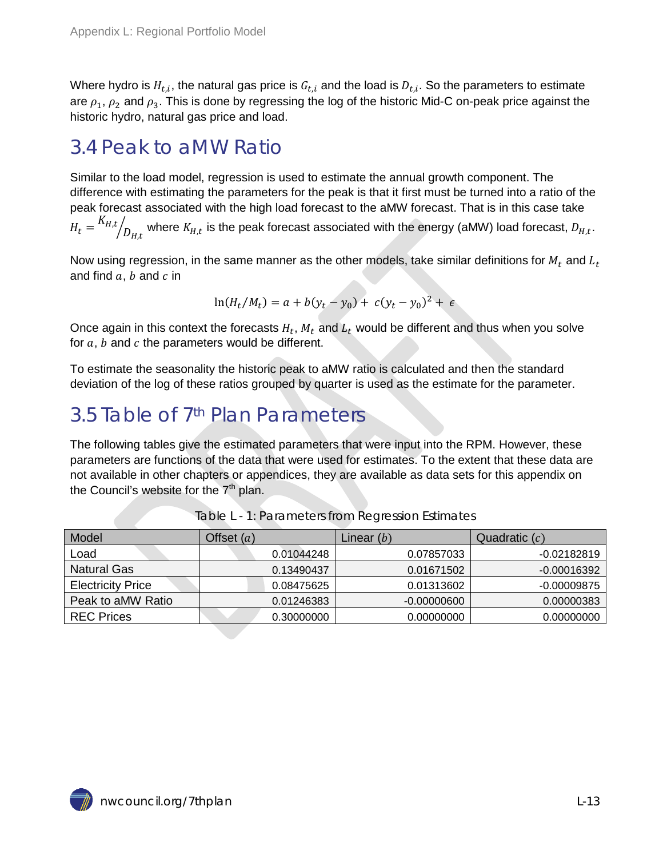Where hydro is  $H_{t,i}$ , the natural gas price is  $G_{t,i}$  and the load is  $D_{t,i}$ . So the parameters to estimate are  $\rho_1$ ,  $\rho_2$  and  $\rho_3$ . This is done by regressing the log of the historic Mid-C on-peak price against the historic hydro, natural gas price and load.

## <span id="page-12-0"></span>3.4 Peak to aMW Ratio

Similar to the load model, regression is used to estimate the annual growth component. The difference with estimating the parameters for the peak is that it first must be turned into a ratio of the peak forecast associated with the high load forecast to the aMW forecast. That is in this case take  $H_t = \frac{K_{H,t}}{D_{H,t}}$  where  $K_{H,t}$  is the peak forecast associated with the energy (aMW) load forecast,  $D_{H,t}$ .

Now using regression, in the same manner as the other models, take similar definitions for  $M_t$  and  $L_t$ and find  $a, b$  and  $c$  in

$$
\ln(H_t/M_t) = a + b(y_t - y_0) + c(y_t - y_0)^2 + \epsilon
$$

Once again in this context the forecasts  $H_t$ ,  $M_t$  and  $L_t$  would be different and thus when you solve for  $a, b$  and  $c$  the parameters would be different.

To estimate the seasonality the historic peak to aMW ratio is calculated and then the standard deviation of the log of these ratios grouped by quarter is used as the estimate for the parameter.

## <span id="page-12-1"></span>3.5 Table of 7th Plan Parameters

The following tables give the estimated parameters that were input into the RPM. However, these parameters are functions of the data that were used for estimates. To the extent that these data are not available in other chapters or appendices, they are available as data sets for this appendix on the Council's website for the  $7<sup>th</sup>$  plan.

<span id="page-12-2"></span>

| Model                    | Offset $(a)$ | Linear $(b)$  | Quadratic $(c)$ |
|--------------------------|--------------|---------------|-----------------|
| Load                     | 0.01044248   | 0.07857033    | $-0.02182819$   |
| <b>Natural Gas</b>       | 0.13490437   | 0.01671502    | -0.00016392     |
| <b>Electricity Price</b> | 0.08475625   | 0.01313602    | -0.00009875     |
| Peak to aMW Ratio        | 0.01246383   | $-0.00000600$ | 0.00000383      |
| <b>REC Prices</b>        | 0.30000000   | 0.00000000    | 0.00000000      |

|  |  | Table L - 1: Parameters from Regression Estimates |  |
|--|--|---------------------------------------------------|--|
|  |  |                                                   |  |

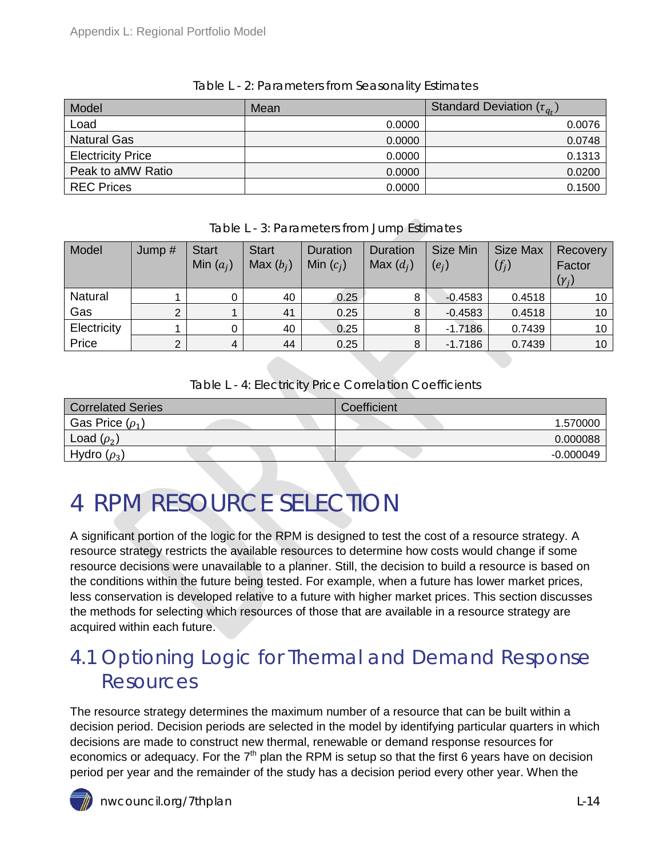<span id="page-13-2"></span>

| Model                    | Mean   | Standard Deviation $(\tau_{q_t})$ |
|--------------------------|--------|-----------------------------------|
| Load                     | 0.0000 | 0.0076                            |
| <b>Natural Gas</b>       | 0.0000 | 0.0748                            |
| <b>Electricity Price</b> | 0.0000 | 0.1313                            |
| Peak to aMW Ratio        | 0.0000 | 0.0200                            |
| <b>REC Prices</b>        | 0.0000 | 0.1500                            |

#### Table L - 2: Parameters from Seasonality Estimates

<span id="page-13-3"></span>

| Model       | Jump $#$ | <b>Start</b><br>Min $(a_i)$ | <b>Start</b><br>Max $(b_i)$ | <b>Duration</b><br>Min $(c_i)$ | Duration<br>Max $(d_i)$ | Size Min<br>$(e_i)$ | Size Max<br>$(f_i)$ | Recovery<br>Factor<br>$(\gamma_i)$ |
|-------------|----------|-----------------------------|-----------------------------|--------------------------------|-------------------------|---------------------|---------------------|------------------------------------|
| Natural     |          |                             | 40                          | 0.25                           | 8                       | $-0.4583$           | 0.4518              | 10                                 |
| Gas         |          |                             | 41                          | 0.25                           | 8                       | $-0.4583$           | 0.4518              | 10 <sup>1</sup>                    |
| Electricity |          |                             | 40                          | 0.25                           | 8                       | $-1.7186$           | 0.7439              | 10                                 |
| Price       |          | 4                           | 44                          | 0.25                           | 8                       | $-1.7186$           | 0.7439              | 10 <sup>°</sup>                    |

#### Table L - 3: Parameters from Jump Estimates

#### Table L - 4: Electricity Price Correlation Coefficients

<span id="page-13-4"></span>

| <b>Correlated Series</b> | Coefficient |
|--------------------------|-------------|
| Gas Price $(\rho_1)$     | 1.570000    |
| Load $(\rho_2)$          | 0.000088    |
| Hydro $(\rho_3)$         | $-0.000049$ |

# <span id="page-13-0"></span>4 RPM RESOURCE SELECTION

A significant portion of the logic for the RPM is designed to test the cost of a resource strategy. A resource strategy restricts the available resources to determine how costs would change if some resource decisions were unavailable to a planner. Still, the decision to build a resource is based on the conditions within the future being tested. For example, when a future has lower market prices, less conservation is developed relative to a future with higher market prices. This section discusses the methods for selecting which resources of those that are available in a resource strategy are acquired within each future.

## <span id="page-13-1"></span>4.1 Optioning Logic for Thermal and Demand Response Resources

The resource strategy determines the maximum number of a resource that can be built within a decision period. Decision periods are selected in the model by identifying particular quarters in which decisions are made to construct new thermal, renewable or demand response resources for economics or adequacy. For the  $7<sup>th</sup>$  plan the RPM is setup so that the first 6 years have on decision period per year and the remainder of the study has a decision period every other year. When the

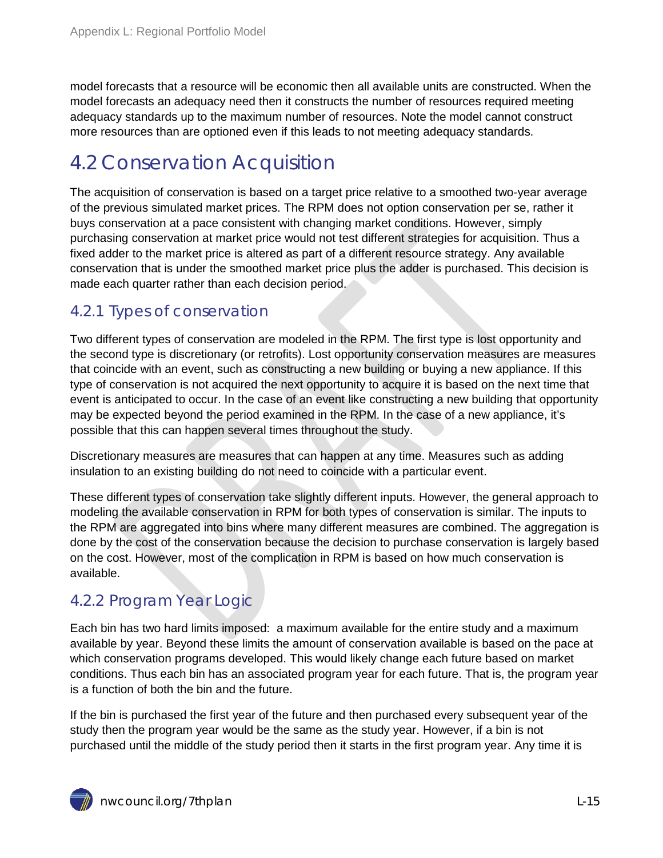model forecasts that a resource will be economic then all available units are constructed. When the model forecasts an adequacy need then it constructs the number of resources required meeting adequacy standards up to the maximum number of resources. Note the model cannot construct more resources than are optioned even if this leads to not meeting adequacy standards.

## <span id="page-14-0"></span>4.2 Conservation Acquisition

The acquisition of conservation is based on a target price relative to a smoothed two-year average of the previous simulated market prices. The RPM does not option conservation per se, rather it buys conservation at a pace consistent with changing market conditions. However, simply purchasing conservation at market price would not test different strategies for acquisition. Thus a fixed adder to the market price is altered as part of a different resource strategy. Any available conservation that is under the smoothed market price plus the adder is purchased. This decision is made each quarter rather than each decision period.

### <span id="page-14-1"></span>4.2.1 Types of conservation

Two different types of conservation are modeled in the RPM. The first type is lost opportunity and the second type is discretionary (or retrofits). Lost opportunity conservation measures are measures that coincide with an event, such as constructing a new building or buying a new appliance. If this type of conservation is not acquired the next opportunity to acquire it is based on the next time that event is anticipated to occur. In the case of an event like constructing a new building that opportunity may be expected beyond the period examined in the RPM. In the case of a new appliance, it's possible that this can happen several times throughout the study.

Discretionary measures are measures that can happen at any time. Measures such as adding insulation to an existing building do not need to coincide with a particular event.

These different types of conservation take slightly different inputs. However, the general approach to modeling the available conservation in RPM for both types of conservation is similar. The inputs to the RPM are aggregated into bins where many different measures are combined. The aggregation is done by the cost of the conservation because the decision to purchase conservation is largely based on the cost. However, most of the complication in RPM is based on how much conservation is available.

### <span id="page-14-2"></span>4.2.2 Program Year Logic

Each bin has two hard limits imposed: a maximum available for the entire study and a maximum available by year. Beyond these limits the amount of conservation available is based on the pace at which conservation programs developed. This would likely change each future based on market conditions. Thus each bin has an associated program year for each future. That is, the program year is a function of both the bin and the future.

If the bin is purchased the first year of the future and then purchased every subsequent year of the study then the program year would be the same as the study year. However, if a bin is not purchased until the middle of the study period then it starts in the first program year. Any time it is

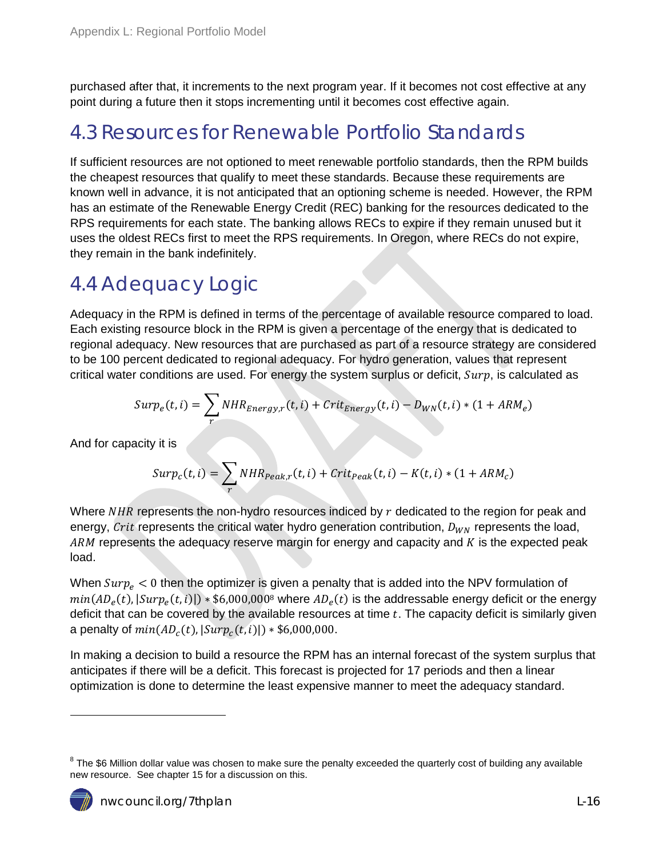purchased after that, it increments to the next program year. If it becomes not cost effective at any point during a future then it stops incrementing until it becomes cost effective again.

### <span id="page-15-0"></span>4.3 Resources for Renewable Portfolio Standards

If sufficient resources are not optioned to meet renewable portfolio standards, then the RPM builds the cheapest resources that qualify to meet these standards. Because these requirements are known well in advance, it is not anticipated that an optioning scheme is needed. However, the RPM has an estimate of the Renewable Energy Credit (REC) banking for the resources dedicated to the RPS requirements for each state. The banking allows RECs to expire if they remain unused but it uses the oldest RECs first to meet the RPS requirements. In Oregon, where RECs do not expire, they remain in the bank indefinitely.

## <span id="page-15-1"></span>4.4 Adequacy Logic

Adequacy in the RPM is defined in terms of the percentage of available resource compared to load. Each existing resource block in the RPM is given a percentage of the energy that is dedicated to regional adequacy. New resources that are purchased as part of a resource strategy are considered to be 100 percent dedicated to regional adequacy. For hydro generation, values that represent critical water conditions are used. For energy the system surplus or deficit,  $S_{\mu\nu}$ , is calculated as

$$
Surp_e(t, i) = \sum_r NHR_{Energy,r}(t, i) + Crit_{Energy}(t, i) - D_{WN}(t, i) * (1 + ARM_e)
$$

And for capacity it is

$$
Surp_c(t, i) = \sum_r NHR_{Peak,r}(t, i) + Crit_{Peak}(t, i) - K(t, i) * (1 + ARM_c)
$$

Where  $NHR$  represents the non-hydro resources indiced by  $r$  dedicated to the region for peak and energy, Crit represents the critical water hydro generation contribution,  $D_{WN}$  represents the load,  $ARM$  represents the adequacy reserve margin for energy and capacity and  $K$  is the expected peak load.

When  $Surp_e < 0$  then the optimizer is given a penalty that is added into the NPV formulation of  $min(AD<sub>e</sub>(t), |Surp<sub>e</sub>(t, i)|)*$6,000,0008$  where  $AD<sub>e</sub>(t)$  is the addressable energy deficit or the energy deficit that can be covered by the available resources at time  $t$ . The capacity deficit is similarly given a penalty of  $min(AD<sub>c</sub>(t), |Sup<sub>c</sub>(t, i)|) * $6,000,000$ .

In making a decision to build a resource the RPM has an internal forecast of the system surplus that anticipates if there will be a deficit. This forecast is projected for 17 periods and then a linear optimization is done to determine the least expensive manner to meet the adequacy standard.

<span id="page-15-2"></span> $8$  The \$6 Million dollar value was chosen to make sure the penalty exceeded the quarterly cost of building any available new resource. See chapter 15 for a discussion on this.



 $\ddot{\phantom{a}}$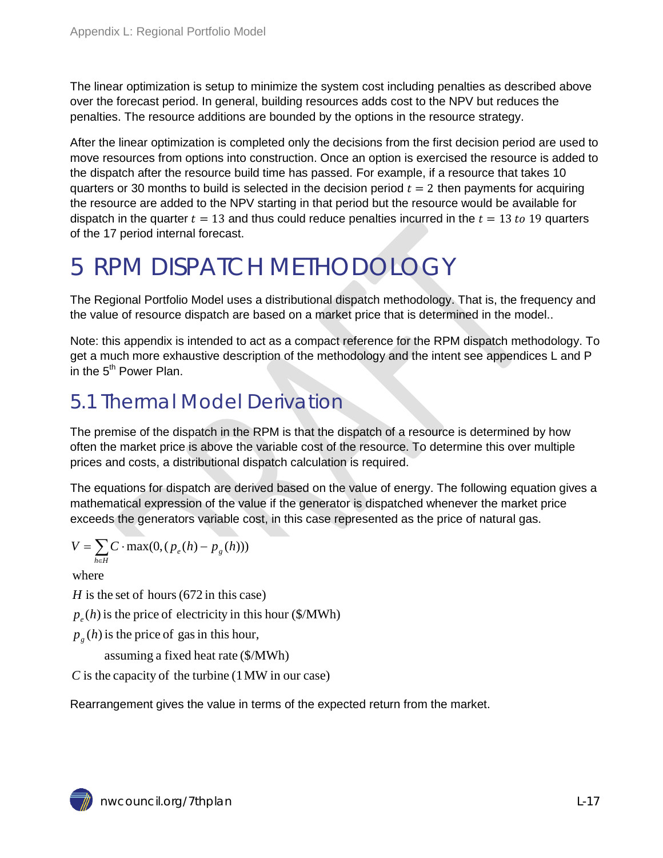The linear optimization is setup to minimize the system cost including penalties as described above over the forecast period. In general, building resources adds cost to the NPV but reduces the penalties. The resource additions are bounded by the options in the resource strategy.

After the linear optimization is completed only the decisions from the first decision period are used to move resources from options into construction. Once an option is exercised the resource is added to the dispatch after the resource build time has passed. For example, if a resource that takes 10 quarters or 30 months to build is selected in the decision period  $t = 2$  then payments for acquiring the resource are added to the NPV starting in that period but the resource would be available for dispatch in the quarter  $t = 13$  and thus could reduce penalties incurred in the  $t = 13$  to 19 quarters of the 17 period internal forecast.

# <span id="page-16-0"></span>5 RPM DISPATCH METHODOLOGY

The Regional Portfolio Model uses a distributional dispatch methodology. That is, the frequency and the value of resource dispatch are based on a market price that is determined in the model..

Note: this appendix is intended to act as a compact reference for the RPM dispatch methodology. To get a much more exhaustive description of the methodology and the intent see appendices L and P in the  $5<sup>th</sup>$  Power Plan.

## <span id="page-16-1"></span>5.1 Thermal Model Derivation

The premise of the dispatch in the RPM is that the dispatch of a resource is determined by how often the market price is above the variable cost of the resource. To determine this over multiple prices and costs, a distributional dispatch calculation is required.

The equations for dispatch are derived based on the value of energy. The following equation gives a mathematical expression of the value if the generator is dispatched whenever the market price exceeds the generators variable cost, in this case represented as the price of natural gas.

$$
V = \sum_{h \in H} C \cdot \max(0, (p_e(h) - p_g(h)))
$$

where

 $H$  is the set of hours (672 in this case)

 $p_e(h)$  is the price of electricity in this hour (\$/MWh)

 $p_g(h)$  is the price of gas in this hour,

assuming a fixed heat rate (\$/MWh)

 $\overline{C}$  is the capacity of the turbine (1 MW in our case)

Rearrangement gives the value in terms of the expected return from the market.

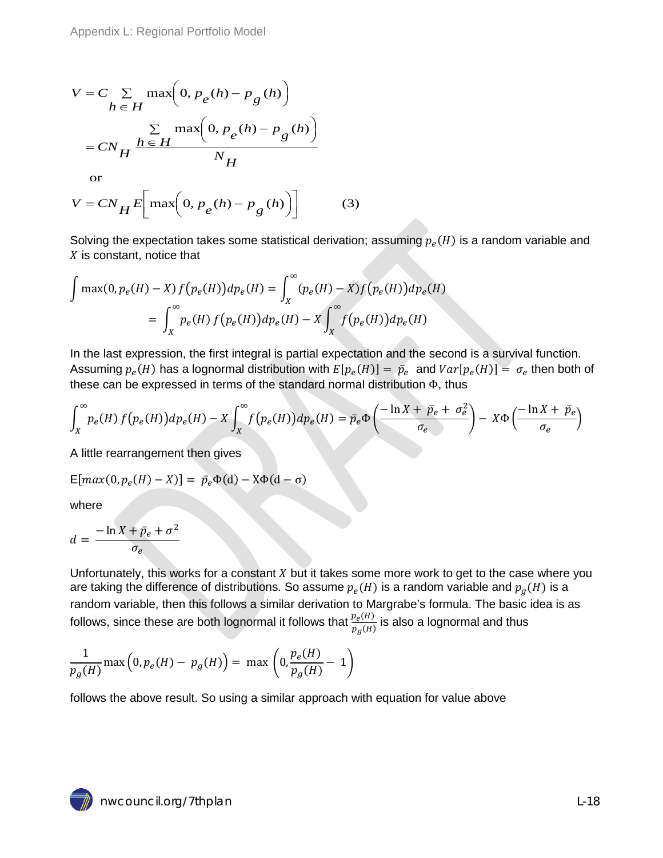$$
V = C \sum_{h \in H} \max\left(0, p_e(h) - p_g(h)\right)
$$

$$
= C N_H \frac{\sum_{h \in H} \max\left(0, p_e(h) - p_g(h)\right)}{N_H}
$$

or

$$
V = CN_H E \left[ \max \left( 0, p_e(h) - p_g(h) \right) \right]
$$
 (3)

Solving the expectation takes some statistical derivation; assuming  $p_e(H)$  is a random variable and  $X$  is constant, notice that

$$
\int \max(0, p_e(H) - X) f(p_e(H)) dp_e(H) = \int_X^{\infty} (p_e(H) - X) f(p_e(H)) dp_e(H)
$$
  
= 
$$
\int_X^{\infty} p_e(H) f(p_e(H)) dp_e(H) - X \int_X^{\infty} f(p_e(H)) dp_e(H)
$$

In the last expression, the first integral is partial expectation and the second is a survival function. Assuming  $p_e(H)$  has a lognormal distribution with  $E[p_e(H)] = \bar p_e$  and  $Var[p_e(H)] = \sigma_e$  then both of these can be expressed in terms of the standard normal distribution Φ, thus

$$
\int_X^{\infty} p_e(H) f(p_e(H)) dp_e(H) - X \int_X^{\infty} f(p_e(H)) dp_e(H) = \bar{p}_e \Phi \left( \frac{-\ln X + \bar{p}_e + \sigma_e^2}{\sigma_e} \right) - X \Phi \left( \frac{-\ln X + \bar{p}_e}{\sigma_e} \right)
$$

A little rearrangement then gives

$$
\mathsf{E}[max(0, p_e(H) - X)] = \bar{p}_e \Phi(d) - X\Phi(d - \sigma)
$$

where

$$
d = \frac{-\ln X + \bar{p}_e + \sigma^2}{\sigma_e}
$$

Unfortunately, this works for a constant  $X$  but it takes some more work to get to the case where you are taking the difference of distributions. So assume  $p_e(H)$  is a random variable and  $p_g(H)$  is a random variable, then this follows a similar derivation to Margrabe's formula. The basic idea is as follows, since these are both lognormal it follows that  $\frac{p_e(H)}{p_g(H)}$  is also a lognormal and thus

$$
\frac{1}{p_g(H)} \max\left(0, p_e(H) - p_g(H)\right) = \max\left(0, \frac{p_e(H)}{p_g(H)} - 1\right)
$$

follows the above result. So using a similar approach with equation for value above

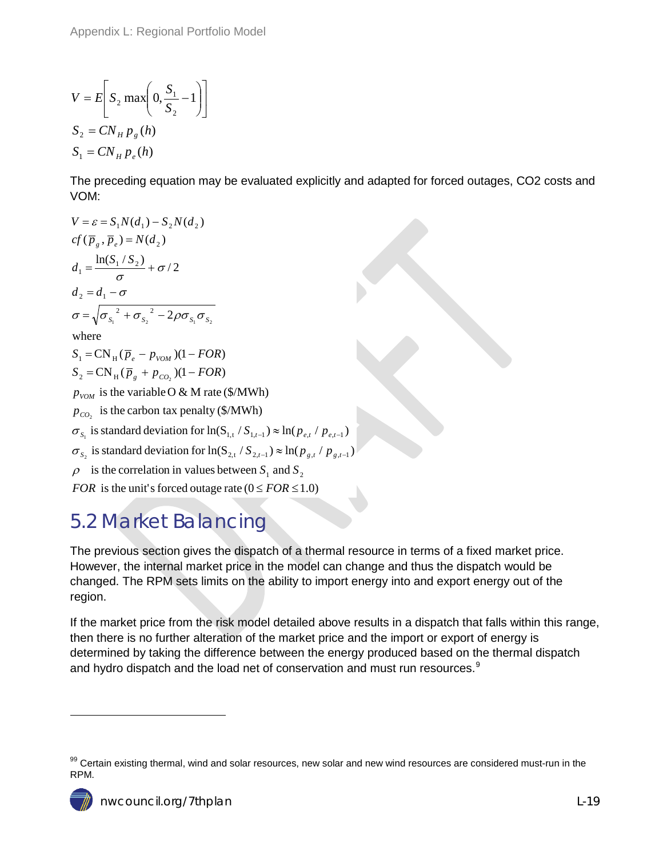$$
V = E\left[S_2 \max\left(0, \frac{S_1}{S_2} - 1\right)\right]
$$
  
\n
$$
S_2 = CN_H p_g(h)
$$
  
\n
$$
S_1 = CN_H p_e(h)
$$

The preceding equation may be evaluated explicitly and adapted for forced outages, CO2 costs and VOM:

$$
V = \varepsilon = S_1 N(d_1) - S_2 N(d_2)
$$
  
\n
$$
cf(\overline{p}_g, \overline{p}_e) = N(d_2)
$$
  
\n
$$
d_1 = \frac{\ln(S_1 / S_2)}{\sigma} + \sigma/2
$$
  
\n
$$
d_2 = d_1 - \sigma
$$
  
\n
$$
\sigma = \sqrt{{\sigma_{S_1}}^2 + {\sigma_{S_2}}^2 - 2\rho {\sigma_{S_1}} {\sigma_{S_2}}}
$$
  
\nwhere  
\n
$$
S_1 = CN_H (\overline{p}_e - p_{VOM}) (1 - FOR)
$$
  
\n
$$
S_2 = CN_H (\overline{p}_g + p_{CO_2}) (1 - FOR)
$$
  
\n
$$
p_{VOM}
$$
 is the variable O & M rate (\$/MWh)  
\n
$$
p_{CO_2}
$$
 is the carbon tax penalty (\$/MWh)  
\n
$$
\sigma_{S_1}
$$
 is standard deviation for ln( $S_{1,t}$ ,  $S_{1,t-1}$ )  $\approx$  ln( $p_{e,t}$  /  $p_{e,t-1}$ )  
\n
$$
\sigma_{S_2}
$$
 is standard deviation for ln( $S_{2,t}$ ,  $S_{2,t-1}$ )  $\approx$  ln( $p_{g,t}$  /  $p_{g,t-1}$ )

 $\rho$  is the correlation in values between  $S_1$  and  $S_2$ 

FOR is the unit's forced outage rate  $(0 \le FOR \le 1.0)$ 

## <span id="page-18-0"></span>5.2 Market Balancing

The previous section gives the dispatch of a thermal resource in terms of a fixed market price. However, the internal market price in the model can change and thus the dispatch would be changed. The RPM sets limits on the ability to import energy into and export energy out of the region.

If the market price from the risk model detailed above results in a dispatch that falls within this range, then there is no further alteration of the market price and the import or export of energy is determined by taking the difference between the energy produced based on the thermal dispatch and hydro dispatch and the load net of conservation and must run resources.<sup>[9](#page-15-2)</sup>

 $\ddot{\phantom{a}}$ 

<span id="page-18-1"></span><sup>99</sup> Certain existing thermal, wind and solar resources, new solar and new wind resources are considered must-run in the RPM.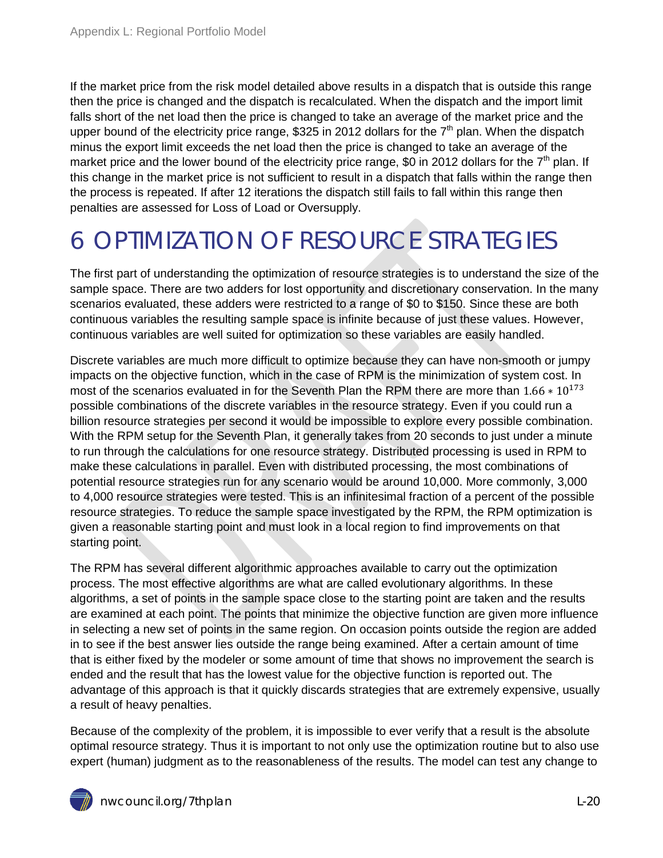If the market price from the risk model detailed above results in a dispatch that is outside this range then the price is changed and the dispatch is recalculated. When the dispatch and the import limit falls short of the net load then the price is changed to take an average of the market price and the upper bound of the electricity price range, \$325 in 2012 dollars for the  $7<sup>th</sup>$  plan. When the dispatch minus the export limit exceeds the net load then the price is changed to take an average of the market price and the lower bound of the electricity price range, \$0 in 2012 dollars for the  $7<sup>th</sup>$  plan. If this change in the market price is not sufficient to result in a dispatch that falls within the range then the process is repeated. If after 12 iterations the dispatch still fails to fall within this range then penalties are assessed for Loss of Load or Oversupply.

# <span id="page-19-0"></span>6 OPTIMIZATION OF RESOURCE STRATEGIES

The first part of understanding the optimization of resource strategies is to understand the size of the sample space. There are two adders for lost opportunity and discretionary conservation. In the many scenarios evaluated, these adders were restricted to a range of \$0 to \$150. Since these are both continuous variables the resulting sample space is infinite because of just these values. However, continuous variables are well suited for optimization so these variables are easily handled.

Discrete variables are much more difficult to optimize because they can have non-smooth or jumpy impacts on the objective function, which in the case of RPM is the minimization of system cost. In most of the scenarios evaluated in for the Seventh Plan the RPM there are more than  $1.66 * 10^{173}$ possible combinations of the discrete variables in the resource strategy. Even if you could run a billion resource strategies per second it would be impossible to explore every possible combination. With the RPM setup for the Seventh Plan, it generally takes from 20 seconds to just under a minute to run through the calculations for one resource strategy. Distributed processing is used in RPM to make these calculations in parallel. Even with distributed processing, the most combinations of potential resource strategies run for any scenario would be around 10,000. More commonly, 3,000 to 4,000 resource strategies were tested. This is an infinitesimal fraction of a percent of the possible resource strategies. To reduce the sample space investigated by the RPM, the RPM optimization is given a reasonable starting point and must look in a local region to find improvements on that starting point.

The RPM has several different algorithmic approaches available to carry out the optimization process. The most effective algorithms are what are called evolutionary algorithms. In these algorithms, a set of points in the sample space close to the starting point are taken and the results are examined at each point. The points that minimize the objective function are given more influence in selecting a new set of points in the same region. On occasion points outside the region are added in to see if the best answer lies outside the range being examined. After a certain amount of time that is either fixed by the modeler or some amount of time that shows no improvement the search is ended and the result that has the lowest value for the objective function is reported out. The advantage of this approach is that it quickly discards strategies that are extremely expensive, usually a result of heavy penalties.

Because of the complexity of the problem, it is impossible to ever verify that a result is the absolute optimal resource strategy. Thus it is important to not only use the optimization routine but to also use expert (human) judgment as to the reasonableness of the results. The model can test any change to

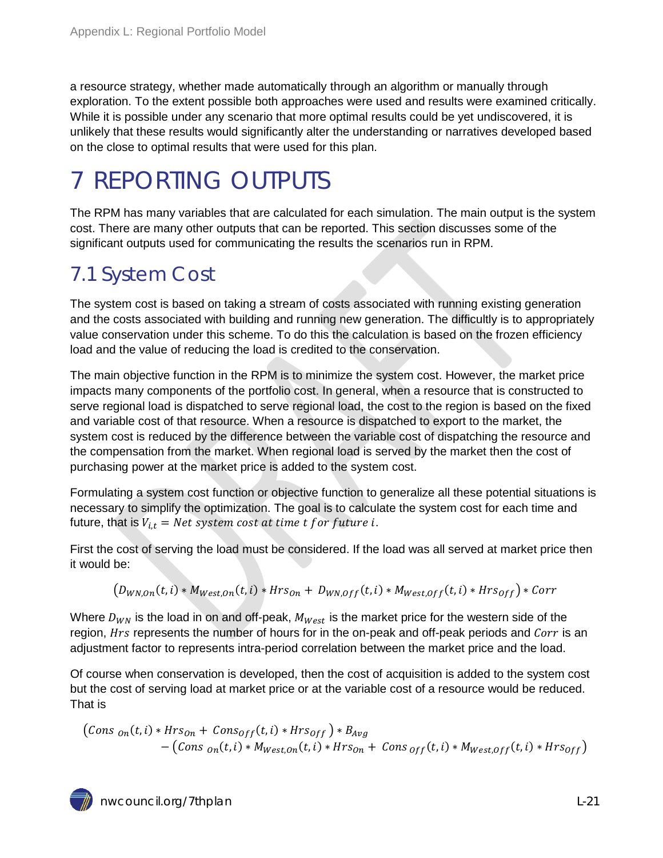a resource strategy, whether made automatically through an algorithm or manually through exploration. To the extent possible both approaches were used and results were examined critically. While it is possible under any scenario that more optimal results could be yet undiscovered, it is unlikely that these results would significantly alter the understanding or narratives developed based on the close to optimal results that were used for this plan.

# <span id="page-20-0"></span>7 REPORTING OUTPUTS

The RPM has many variables that are calculated for each simulation. The main output is the system cost. There are many other outputs that can be reported. This section discusses some of the significant outputs used for communicating the results the scenarios run in RPM.

## <span id="page-20-1"></span>7.1 System Cost

The system cost is based on taking a stream of costs associated with running existing generation and the costs associated with building and running new generation. The difficultly is to appropriately value conservation under this scheme. To do this the calculation is based on the frozen efficiency load and the value of reducing the load is credited to the conservation.

The main objective function in the RPM is to minimize the system cost. However, the market price impacts many components of the portfolio cost. In general, when a resource that is constructed to serve regional load is dispatched to serve regional load, the cost to the region is based on the fixed and variable cost of that resource. When a resource is dispatched to export to the market, the system cost is reduced by the difference between the variable cost of dispatching the resource and the compensation from the market. When regional load is served by the market then the cost of purchasing power at the market price is added to the system cost.

Formulating a system cost function or objective function to generalize all these potential situations is necessary to simplify the optimization. The goal is to calculate the system cost for each time and future, that is  $V_{i,t}$  = Net system cost at time t for future i.

First the cost of serving the load must be considered. If the load was all served at market price then it would be:

$$
(D_{WN,On}(t,i)*M_{West,On}(t,i)*Hrs_{On}+D_{WN,Off}(t,i)*M_{West,Off}(t,i)*Hrs_{Off})*Corr
$$

Where  $D_{WN}$  is the load in on and off-peak,  $M_{West}$  is the market price for the western side of the region,  $Hrs$  represents the number of hours for in the on-peak and off-peak periods and  $Corr$  is an adjustment factor to represents intra-period correlation between the market price and the load.

Of course when conservation is developed, then the cost of acquisition is added to the system cost but the cost of serving load at market price or at the variable cost of a resource would be reduced. That is

$$
\begin{aligned} \left( Cons_{on}(t,i) * Hrs_{on} + Cons_{off}(t,i) * Hrs_{off} \right) * B_{Avg} \\ - \left( Cons_{on}(t,i) * M_{West,on}(t,i) * Hrs_{on} + Cons_{off}(t,i) * M_{West,off}(t,i) * Hrs_{off} \right) \end{aligned}
$$

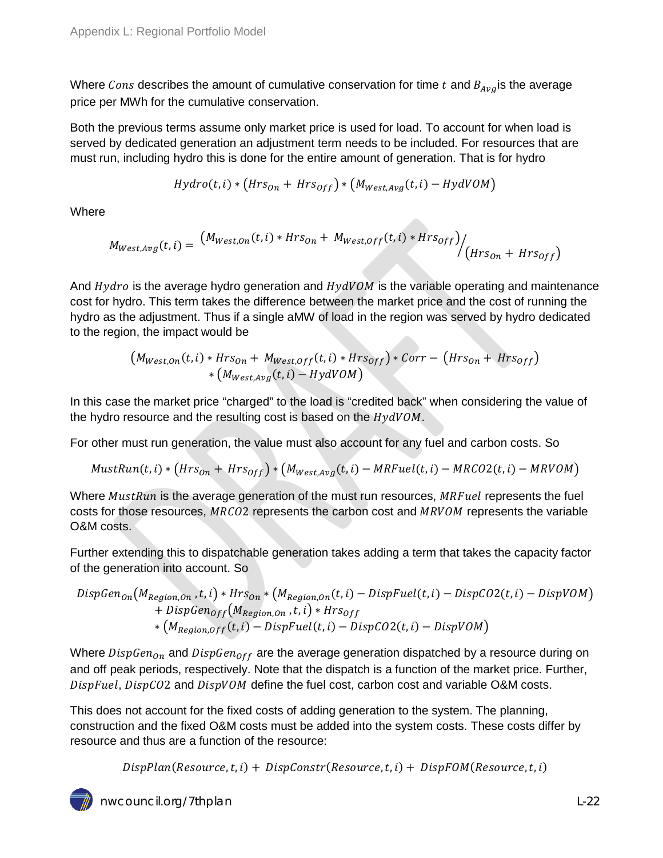Where Cons describes the amount of cumulative conservation for time  $t$  and  $B_{Avg}$  is the average price per MWh for the cumulative conservation.

Both the previous terms assume only market price is used for load. To account for when load is served by dedicated generation an adjustment term needs to be included. For resources that are must run, including hydro this is done for the entire amount of generation. That is for hydro

$$
Hydro(t, i) * (Hrs0n + Hrs0ff) * (MWest,Avg(t, i) - HydVOM)
$$

**Where** 

$$
M_{West,Avg}(t,i) = \frac{(M_{West,On}(t,i) * Hrs_{On} + M_{West,Off}(t,i) * Hrs_{Off})}{(Hrs_{On} + Hrs_{Off})}
$$

And  $Hydro$  is the average hydro generation and  $HydVOM$  is the variable operating and maintenance cost for hydro. This term takes the difference between the market price and the cost of running the hydro as the adjustment. Thus if a single aMW of load in the region was served by hydro dedicated to the region, the impact would be

$$
(M_{West,On}(t,i) * Hrs_{On} + M_{West,Off}(t,i) * Hrs_{Off}) * Corr - (Hrs_{On} + Hrs_{Off}) * (M_{West,Avg}(t,i) - HydVOM)
$$

In this case the market price "charged" to the load is "credited back" when considering the value of the hydro resource and the resulting cost is based on the  $HydVOM$ .

For other must run generation, the value must also account for any fuel and carbon costs. So

$$
MustRun(t, i) * (Hrs_{0n} + Hrs_{0ff}) * (M_{West, Avg}(t, i) - MRFuel(t, i) - MRCO2(t, i) - MRVOM)
$$

Where  $MustRun$  is the average generation of the must run resources,  $MRFull$  represents the fuel costs for those resources,  $MRCO2$  represents the carbon cost and  $MRVOM$  represents the variable O&M costs.

Further extending this to dispatchable generation takes adding a term that takes the capacity factor of the generation into account. So

$$
DispGen_{On}(M_{Region,On}, t, i) * Hrs_{On} * (M_{Region,On}(t, i) - DispFuel(t, i) - DispCO2(t, i) - DispVOM) + DispGen_{Off}(M_{Region,On}, t, i) * Hrs_{Off} * (M_{Region,Off}(t, i) - DispFuel(t, i) - DispCO2(t, i) - DispVOM)
$$

Where  $DispGen_{On}$  and  $DispGen_{Off}$  are the average generation dispatched by a resource during on and off peak periods, respectively. Note that the dispatch is a function of the market price. Further, DispFuel, DispC02 and DispVOM define the fuel cost, carbon cost and variable O&M costs.

This does not account for the fixed costs of adding generation to the system. The planning, construction and the fixed O&M costs must be added into the system costs. These costs differ by resource and thus are a function of the resource:

 $DispPlan(Resource, t, i) + DispConstruct(Resource, t, i) + DispFOM(Resource, t, i)$ 

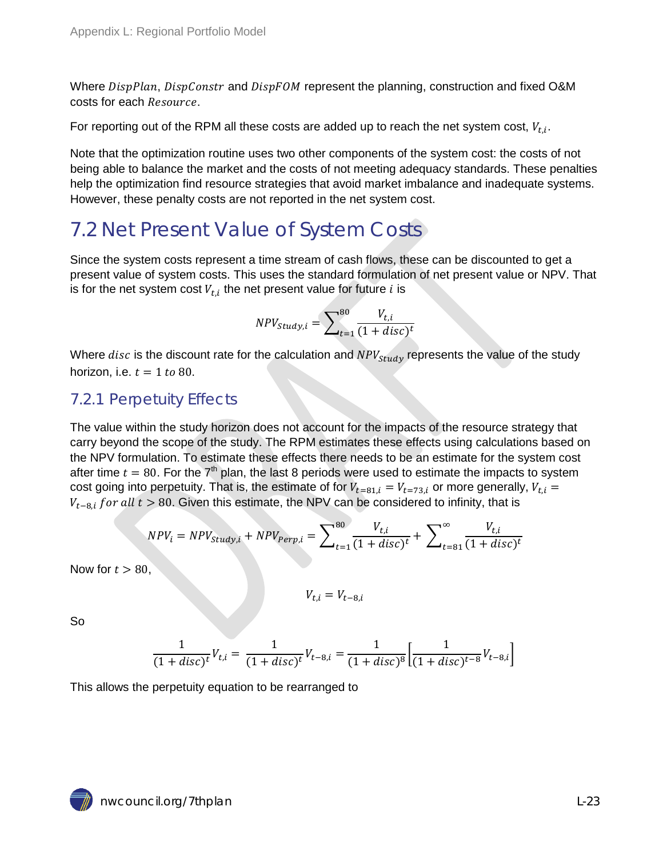Where DispPlan, DispConstr and DispFOM represent the planning, construction and fixed O&M costs for each Resource.

For reporting out of the RPM all these costs are added up to reach the net system cost,  $V_{t,i}$ .

Note that the optimization routine uses two other components of the system cost: the costs of not being able to balance the market and the costs of not meeting adequacy standards. These penalties help the optimization find resource strategies that avoid market imbalance and inadequate systems. However, these penalty costs are not reported in the net system cost.

## <span id="page-22-0"></span>7.2 Net Present Value of System Costs

Since the system costs represent a time stream of cash flows, these can be discounted to get a present value of system costs. This uses the standard formulation of net present value or NPV. That is for the net system cost  $V_{t,i}$  the net present value for future  $i$  is

$$
NPV_{Study,i} = \sum_{t=1}^{80} \frac{V_{t,i}}{(1+disc)^t}
$$

Where  $disc$  is the discount rate for the calculation and  $NPV_{study}$  represents the value of the study horizon, i.e.  $t = 1$  to 80.

### <span id="page-22-1"></span>7.2.1 Perpetuity Effects

The value within the study horizon does not account for the impacts of the resource strategy that carry beyond the scope of the study. The RPM estimates these effects using calculations based on the NPV formulation. To estimate these effects there needs to be an estimate for the system cost after time  $t = 80$ . For the  $7<sup>th</sup>$  plan, the last 8 periods were used to estimate the impacts to system cost going into perpetuity. That is, the estimate of for  $V_{t=81, i} = V_{t=73, i}$  or more generally,  $V_{t,i} =$  $V_{t-8,i}$  for all  $t > 80$ . Given this estimate, the NPV can be considered to infinity, that is

$$
NPV_i = NPV_{study,i} + NPV_{perp,i} = \sum_{t=1}^{80} \frac{V_{t,i}}{(1 + disc)^t} + \sum_{t=81}^{\infty} \frac{V_{t,i}}{(1 + disc)^t}
$$

Now for  $t > 80$ ,

$$
V_{t,i}=V_{t-8,i}
$$

So

$$
\frac{1}{(1+disc)^t}V_{t,i} = \frac{1}{(1+disc)^t}V_{t-8,i} = \frac{1}{(1+disc)^8} \left[ \frac{1}{(1+disc)^{t-8}} V_{t-8,i} \right]
$$

This allows the perpetuity equation to be rearranged to